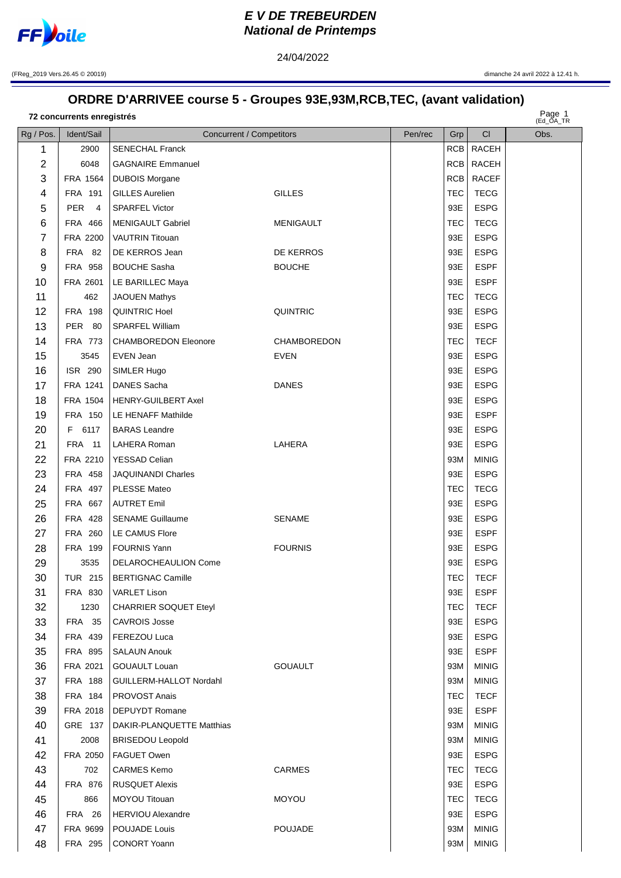

## **E V DE TREBEURDEN National de Printemps**

24/04/2022

(FReg\_2019 Vers.26.45 © 20019) dimanche 24 avril 2022 à 12.41 h.

## **ORDRE D'ARRIVEE course 5 - Groupes 93E,93M,RCB,TEC, (avant validation)**

Page 1 **concurrents enregistrés**

Page 1<br>(Ed\_OA\_TR

| Rg / Pos.      | Ident/Sail       | Concurrent / Competitors     |                  | Pen/rec | Grp        | CI           | Obs. |
|----------------|------------------|------------------------------|------------------|---------|------------|--------------|------|
| 1              | 2900             | <b>SENECHAL Franck</b>       |                  |         |            | RCB RACEH    |      |
| $\overline{2}$ | 6048             | <b>GAGNAIRE Emmanuel</b>     |                  |         |            | RCB RACEH    |      |
| 3              | FRA 1564         | <b>DUBOIS Morgane</b>        |                  |         | RCB        | <b>RACEF</b> |      |
| 4              | FRA 191          | <b>GILLES Aurelien</b>       | <b>GILLES</b>    |         | <b>TEC</b> | <b>TECG</b>  |      |
| 5              | PER <sub>4</sub> | <b>SPARFEL Victor</b>        |                  |         | 93E        | <b>ESPG</b>  |      |
| 6              | FRA 466          | <b>MENIGAULT Gabriel</b>     | <b>MENIGAULT</b> |         | <b>TEC</b> | <b>TECG</b>  |      |
| 7              | FRA 2200         | <b>VAUTRIN Titouan</b>       |                  |         | 93E        | <b>ESPG</b>  |      |
| 8              | <b>FRA 82</b>    | DE KERROS Jean               | DE KERROS        |         | 93E        | <b>ESPG</b>  |      |
| 9              | FRA 958          | <b>BOUCHE Sasha</b>          | <b>BOUCHE</b>    |         | 93E        | <b>ESPF</b>  |      |
| 10             | FRA 2601         | LE BARILLEC Maya             |                  |         | 93E        | <b>ESPF</b>  |      |
| 11             | 462              | <b>JAOUEN Mathys</b>         |                  |         | <b>TEC</b> | <b>TECG</b>  |      |
| 12             | FRA 198          | QUINTRIC Hoel                | <b>QUINTRIC</b>  |         | 93E        | <b>ESPG</b>  |      |
| 13             | PER 80           | SPARFEL William              |                  |         | 93E        | <b>ESPG</b>  |      |
| 14             | FRA 773          | <b>CHAMBOREDON Eleonore</b>  | CHAMBOREDON      |         | <b>TEC</b> | <b>TECF</b>  |      |
| 15             | 3545             | EVEN Jean                    | <b>EVEN</b>      |         | 93E        | <b>ESPG</b>  |      |
| 16             | ISR 290          | SIMLER Hugo                  |                  |         | 93E        | <b>ESPG</b>  |      |
| 17             | FRA 1241         | DANES Sacha                  | <b>DANES</b>     |         | 93E        | <b>ESPG</b>  |      |
| 18             | FRA 1504         | <b>HENRY-GUILBERT Axel</b>   |                  |         | 93E        | <b>ESPG</b>  |      |
| 19             | <b>FRA 150</b>   | LE HENAFF Mathilde           |                  |         | 93E        | <b>ESPF</b>  |      |
| 20             | F 6117           | <b>BARAS</b> Leandre         |                  |         | 93E        | <b>ESPG</b>  |      |
| 21             | <b>FRA</b> 11    | LAHERA Roman                 | LAHERA           |         | 93E        | <b>ESPG</b>  |      |
| 22             | FRA 2210         | <b>YESSAD Celian</b>         |                  |         | 93M        | <b>MINIG</b> |      |
| 23             | FRA 458          | <b>JAQUINANDI Charles</b>    |                  |         | 93E        | <b>ESPG</b>  |      |
| 24             | FRA 497          | PLESSE Mateo                 |                  |         | <b>TEC</b> | <b>TECG</b>  |      |
| 25             | FRA 667          | <b>AUTRET Emil</b>           |                  |         | 93E        | <b>ESPG</b>  |      |
| 26             | FRA 428          | <b>SENAME Guillaume</b>      | <b>SENAME</b>    |         | 93E        | <b>ESPG</b>  |      |
| 27             | FRA 260          | LE CAMUS Flore               |                  |         | 93E        | <b>ESPF</b>  |      |
| 28             | FRA 199          | <b>FOURNIS Yann</b>          | <b>FOURNIS</b>   |         | 93E        | <b>ESPG</b>  |      |
| 29             | 3535             | DELAROCHEAULION Come         |                  |         | 93E        | <b>ESPG</b>  |      |
| 30             | TUR 215 $ $      | <b>BERTIGNAC Camille</b>     |                  |         | <b>TEC</b> | <b>TECF</b>  |      |
| 31             |                  | FRA 830   VARLET Lison       |                  |         | 93E        | <b>ESPF</b>  |      |
| 32             | 1230             | <b>CHARRIER SOQUET Eteyl</b> |                  |         | <b>TEC</b> | <b>TECF</b>  |      |
| 33             | <b>FRA 35</b>    | <b>CAVROIS Josse</b>         |                  |         | 93E        | <b>ESPG</b>  |      |
| 34             | FRA 439          | FEREZOU Luca                 |                  |         | 93E        | <b>ESPG</b>  |      |
| 35             | FRA 895          | <b>SALAUN Anouk</b>          |                  |         | 93E        | <b>ESPF</b>  |      |
| 36             | FRA 2021         | GOUAULT Louan                | <b>GOUAULT</b>   |         | 93M        | <b>MINIG</b> |      |
| 37             | <b>FRA 188</b>   | GUILLERM-HALLOT Nordahl      |                  |         | 93M        | <b>MINIG</b> |      |
| 38             | FRA 184          | PROVOST Anais                |                  |         | TEC        | <b>TECF</b>  |      |
| 39             | FRA 2018         | <b>DEPUYDT Romane</b>        |                  |         | 93E        | <b>ESPF</b>  |      |
| 40             | GRE 137          | DAKIR-PLANQUETTE Matthias    |                  |         | 93M        | <b>MINIG</b> |      |
| 41             | 2008             | <b>BRISEDOU Leopold</b>      |                  |         | 93M        | <b>MINIG</b> |      |
| 42             | FRA 2050         | FAGUET Owen                  |                  |         | 93E        | <b>ESPG</b>  |      |
| 43             | 702              | <b>CARMES Kemo</b>           | <b>CARMES</b>    |         | <b>TEC</b> | <b>TECG</b>  |      |
| 44             | <b>FRA 876</b>   | <b>RUSQUET Alexis</b>        |                  |         | 93E        | <b>ESPG</b>  |      |
| 45             | 866              | MOYOU Titouan                | <b>MOYOU</b>     |         | TEC        | <b>TECG</b>  |      |
| 46             | <b>FRA 26</b>    | <b>HERVIOU Alexandre</b>     |                  |         | 93E        | <b>ESPG</b>  |      |
| 47             | FRA 9699         | POUJADE Louis                | POUJADE          |         | 93M        | <b>MINIG</b> |      |
| 48             | FRA 295          | CONORT Yoann                 |                  |         | 93M        | <b>MINIG</b> |      |